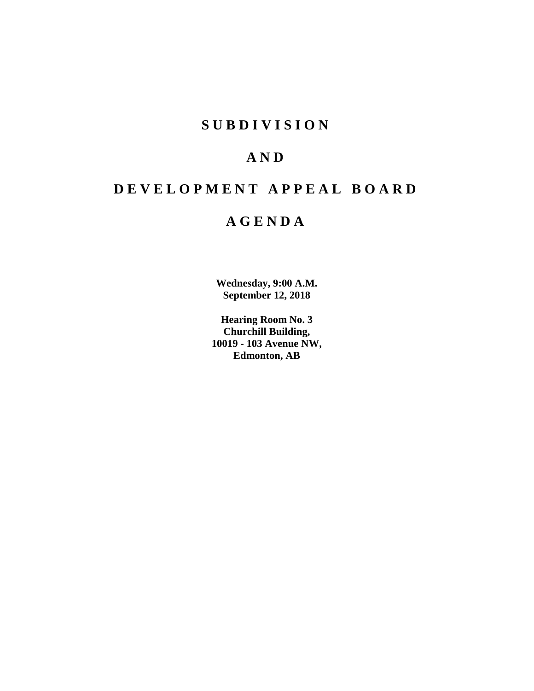# **S U B D I V I S I O N**

# **A N D**

# **D E V E L O P M E N T A P P E A L B O A R D**

# **A G E N D A**

**Wednesday, 9:00 A.M. September 12, 2018**

**Hearing Room No. 3 Churchill Building, 10019 - 103 Avenue NW, Edmonton, AB**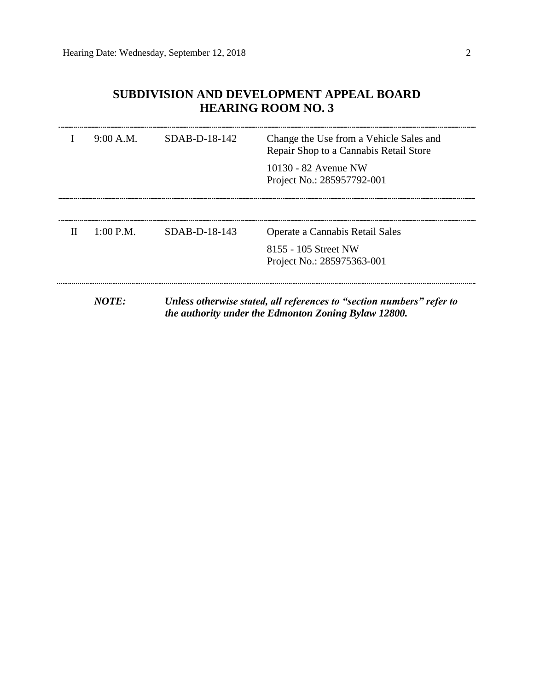# **SUBDIVISION AND DEVELOPMENT APPEAL BOARD HEARING ROOM NO. 3**

|   | 9:00 A.M. | $SDAB-D-18-142$ | Change the Use from a Vehicle Sales and<br>Repair Shop to a Cannabis Retail Store                                             |
|---|-----------|-----------------|-------------------------------------------------------------------------------------------------------------------------------|
|   |           |                 | 10130 - 82 Avenue NW<br>Project No.: 285957792-001                                                                            |
|   |           |                 |                                                                                                                               |
| H | 1:00 P.M. | $SDAB-D-18-143$ | Operate a Cannabis Retail Sales                                                                                               |
|   |           |                 | 8155 - 105 Street NW<br>Project No.: 285975363-001                                                                            |
|   | NOTE:     |                 | Unless otherwise stated, all references to "section numbers" refer to<br>the authority under the Edmonton Zoning Bylaw 12800. |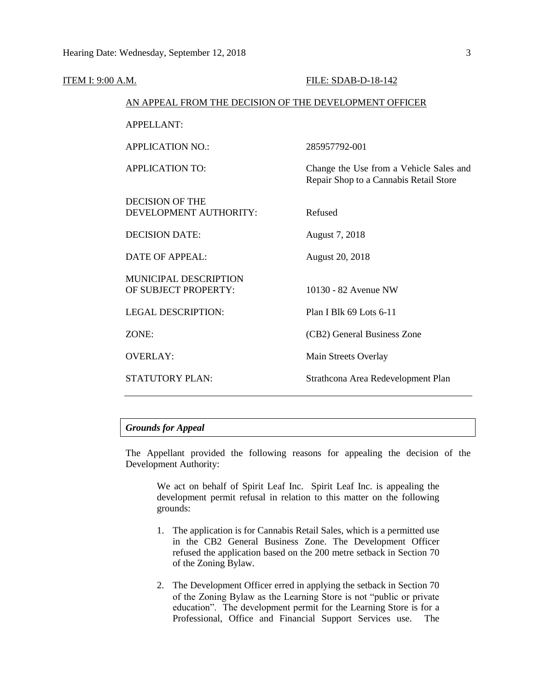| ITEM I: 9:00 A.M. |                                                        | FILE: SDAB-D-18-142                                                               |
|-------------------|--------------------------------------------------------|-----------------------------------------------------------------------------------|
|                   | AN APPEAL FROM THE DECISION OF THE DEVELOPMENT OFFICER |                                                                                   |
|                   | <b>APPELLANT:</b>                                      |                                                                                   |
|                   | <b>APPLICATION NO.:</b>                                | 285957792-001                                                                     |
|                   | <b>APPLICATION TO:</b>                                 | Change the Use from a Vehicle Sales and<br>Repair Shop to a Cannabis Retail Store |
|                   | <b>DECISION OF THE</b><br>DEVELOPMENT AUTHORITY:       | Refused                                                                           |
|                   | <b>DECISION DATE:</b>                                  | August 7, 2018                                                                    |
|                   | <b>DATE OF APPEAL:</b>                                 | <b>August 20, 2018</b>                                                            |
|                   | MUNICIPAL DESCRIPTION<br>OF SUBJECT PROPERTY:          | 10130 - 82 Avenue NW                                                              |
|                   | <b>LEGAL DESCRIPTION:</b>                              | Plan I Blk 69 Lots 6-11                                                           |
|                   | ZONE:                                                  | (CB2) General Business Zone                                                       |
|                   | <b>OVERLAY:</b>                                        | Main Streets Overlay                                                              |
|                   | <b>STATUTORY PLAN:</b>                                 | Strathcona Area Redevelopment Plan                                                |
|                   |                                                        |                                                                                   |

## *Grounds for Appeal*

The Appellant provided the following reasons for appealing the decision of the Development Authority:

We act on behalf of Spirit Leaf Inc. Spirit Leaf Inc. is appealing the development permit refusal in relation to this matter on the following grounds:

- 1. The application is for Cannabis Retail Sales, which is a permitted use in the CB2 General Business Zone. The Development Officer refused the application based on the 200 metre setback in Section 70 of the Zoning Bylaw.
- 2. The Development Officer erred in applying the setback in Section 70 of the Zoning Bylaw as the Learning Store is not "public or private education". The development permit for the Learning Store is for a Professional, Office and Financial Support Services use. The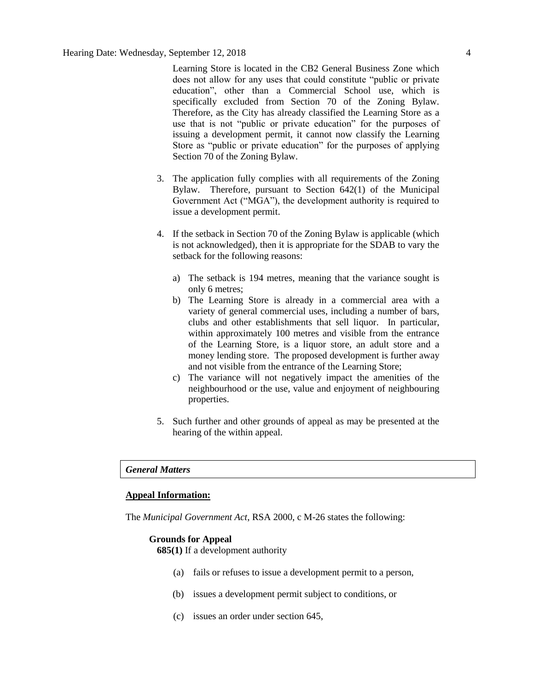Learning Store is located in the CB2 General Business Zone which does not allow for any uses that could constitute "public or private education", other than a Commercial School use, which is specifically excluded from Section 70 of the Zoning Bylaw. Therefore, as the City has already classified the Learning Store as a use that is not "public or private education" for the purposes of issuing a development permit, it cannot now classify the Learning Store as "public or private education" for the purposes of applying Section 70 of the Zoning Bylaw.

- 3. The application fully complies with all requirements of the Zoning Bylaw. Therefore, pursuant to Section 642(1) of the Municipal Government Act ("MGA"), the development authority is required to issue a development permit.
- 4. If the setback in Section 70 of the Zoning Bylaw is applicable (which is not acknowledged), then it is appropriate for the SDAB to vary the setback for the following reasons:
	- a) The setback is 194 metres, meaning that the variance sought is only 6 metres;
	- b) The Learning Store is already in a commercial area with a variety of general commercial uses, including a number of bars, clubs and other establishments that sell liquor. In particular, within approximately 100 metres and visible from the entrance of the Learning Store, is a liquor store, an adult store and a money lending store. The proposed development is further away and not visible from the entrance of the Learning Store;
	- c) The variance will not negatively impact the amenities of the neighbourhood or the use, value and enjoyment of neighbouring properties.
- 5. Such further and other grounds of appeal as may be presented at the hearing of the within appeal.

#### *General Matters*

#### **Appeal Information:**

The *Municipal Government Act*, RSA 2000, c M-26 states the following:

#### **Grounds for Appeal**

**685(1)** If a development authority

- (a) fails or refuses to issue a development permit to a person,
- (b) issues a development permit subject to conditions, or
- (c) issues an order under section 645,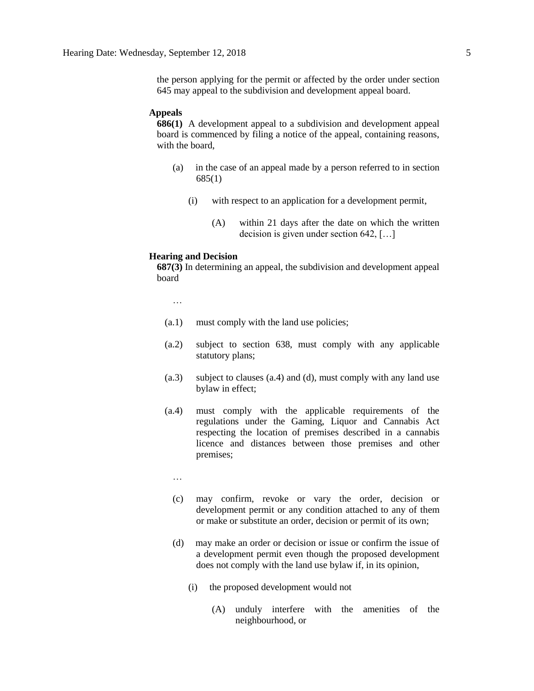the person applying for the permit or affected by the order under section 645 may appeal to the subdivision and development appeal board.

#### **Appeals**

**686(1)** A development appeal to a subdivision and development appeal board is commenced by filing a notice of the appeal, containing reasons, with the board,

- (a) in the case of an appeal made by a person referred to in section 685(1)
	- (i) with respect to an application for a development permit,
		- (A) within 21 days after the date on which the written decision is given under section 642, […]

#### **Hearing and Decision**

**687(3)** In determining an appeal, the subdivision and development appeal board

…

- (a.1) must comply with the land use policies;
- (a.2) subject to section 638, must comply with any applicable statutory plans;
- (a.3) subject to clauses (a.4) and (d), must comply with any land use bylaw in effect;
- (a.4) must comply with the applicable requirements of the regulations under the Gaming, Liquor and Cannabis Act respecting the location of premises described in a cannabis licence and distances between those premises and other premises;
	- …
	- (c) may confirm, revoke or vary the order, decision or development permit or any condition attached to any of them or make or substitute an order, decision or permit of its own;
	- (d) may make an order or decision or issue or confirm the issue of a development permit even though the proposed development does not comply with the land use bylaw if, in its opinion,
		- (i) the proposed development would not
			- (A) unduly interfere with the amenities of the neighbourhood, or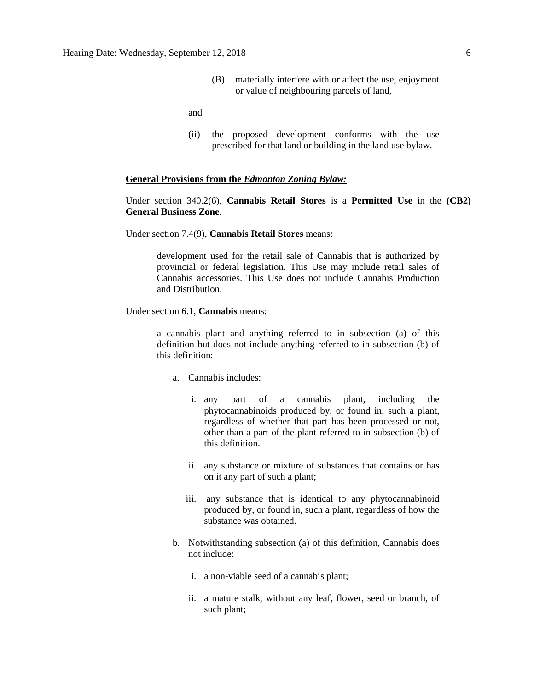(B) materially interfere with or affect the use, enjoyment or value of neighbouring parcels of land,

and

(ii) the proposed development conforms with the use prescribed for that land or building in the land use bylaw.

#### **General Provisions from the** *Edmonton Zoning Bylaw:*

Under section 340.2(6), **Cannabis Retail Stores** is a **Permitted Use** in the **(CB2) General Business Zone**.

Under section 7.4(9), **Cannabis Retail Stores** means:

development used for the retail sale of Cannabis that is authorized by provincial or federal legislation. This Use may include retail sales of Cannabis accessories. This Use does not include Cannabis Production and Distribution.

Under section 6.1, **Cannabis** means:

a cannabis plant and anything referred to in subsection (a) of this definition but does not include anything referred to in subsection (b) of this definition:

- a. Cannabis includes:
	- i. any part of a cannabis plant, including the phytocannabinoids produced by, or found in, such a plant, regardless of whether that part has been processed or not, other than a part of the plant referred to in subsection (b) of this definition.
	- ii. any substance or mixture of substances that contains or has on it any part of such a plant;
	- iii. any substance that is identical to any phytocannabinoid produced by, or found in, such a plant, regardless of how the substance was obtained.
- b. Notwithstanding subsection (a) of this definition, Cannabis does not include:
	- i. a non-viable seed of a cannabis plant;
	- ii. a mature stalk, without any leaf, flower, seed or branch, of such plant;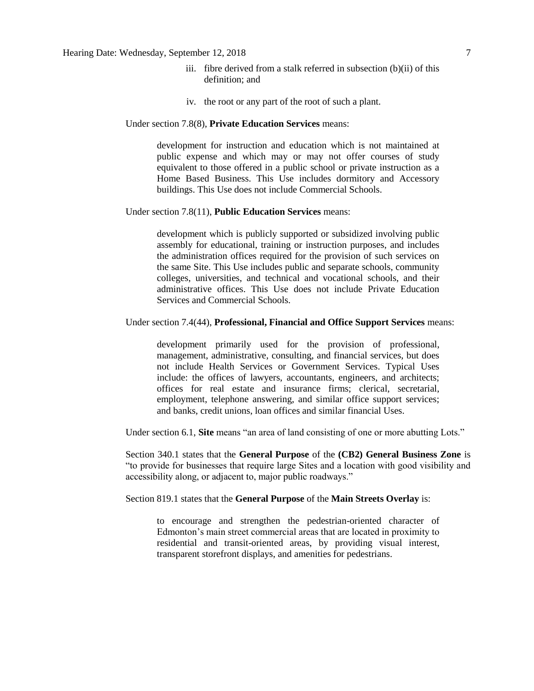### Hearing Date: Wednesday, September 12, 2018 7

- iii. fibre derived from a stalk referred in subsection (b)(ii) of this definition; and
- iv. the root or any part of the root of such a plant.

#### Under section 7.8(8), **Private Education Services** means:

development for instruction and education which is not maintained at public expense and which may or may not offer courses of study equivalent to those offered in a public school or private instruction as a Home Based Business. This Use includes dormitory and Accessory buildings. This Use does not include Commercial Schools.

#### Under section 7.8(11), **Public Education Services** means:

development which is publicly supported or subsidized involving public assembly for educational, training or instruction purposes, and includes the administration offices required for the provision of such services on the same Site. This Use includes public and separate schools, community colleges, universities, and technical and vocational schools, and their administrative offices. This Use does not include Private Education Services and Commercial Schools.

#### Under section 7.4(44), **Professional, Financial and Office Support Services** means:

development primarily used for the provision of professional, management, administrative, consulting, and financial services, but does not include Health Services or Government Services. Typical Uses include: the offices of lawyers, accountants, engineers, and architects; offices for real estate and insurance firms; clerical, secretarial, employment, telephone answering, and similar office support services; and banks, credit unions, loan offices and similar financial Uses.

Under section 6.1, **Site** means "an area of land consisting of one or more abutting Lots."

Section 340.1 states that the **General Purpose** of the **(CB2) General Business Zone** is "to provide for businesses that require large Sites and a location with good visibility and accessibility along, or adjacent to, major public roadways."

### Section 819.1 states that the **General Purpose** of the **Main Streets Overlay** is:

to encourage and strengthen the pedestrian-oriented character of Edmonton's main street commercial areas that are located in proximity to residential and transit-oriented areas, by providing visual interest, transparent storefront displays, and amenities for pedestrians.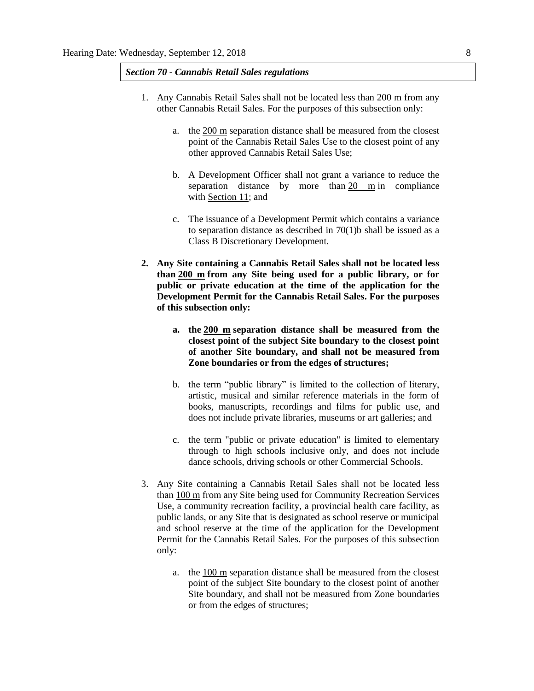#### *Section 70 - Cannabis Retail Sales regulations*

- 1. Any Cannabis Retail Sales shall not be located less than 200 m from any other Cannabis Retail Sales. For the purposes of this subsection only:
	- a. the [200 m](javascript:void(0);) separation distance shall be measured from the closest point of the Cannabis Retail Sales Use to the closest point of any other approved Cannabis Retail Sales Use;
	- b. A Development Officer shall not grant a variance to reduce the separation distance by more than [20 m](javascript:void(0);) in compliance with [Section 11;](https://webdocs.edmonton.ca/InfraPlan/zoningbylaw/ZoningBylaw/Part1/Administrative/11__Authority_and_Responsibility_of_the_Development_Officer.htm) and
	- c. The issuance of a Development Permit which contains a variance to separation distance as described in  $70(1)$ b shall be issued as a Class B Discretionary Development.
- **2. Any Site containing a Cannabis Retail Sales shall not be located less than [200 m](javascript:void(0);) from any Site being used for a public library, or for public or private education at the time of the application for the Development Permit for the Cannabis Retail Sales. For the purposes of this subsection only:**
	- **a. the [200 m](javascript:void(0);) separation distance shall be measured from the closest point of the subject Site boundary to the closest point of another Site boundary, and shall not be measured from Zone boundaries or from the edges of structures;**
	- b. the term "public library" is limited to the collection of literary, artistic, musical and similar reference materials in the form of books, manuscripts, recordings and films for public use, and does not include private libraries, museums or art galleries; and
	- c. the term "public or private education" is limited to elementary through to high schools inclusive only, and does not include dance schools, driving schools or other Commercial Schools.
- 3. Any Site containing a Cannabis Retail Sales shall not be located less than [100 m](javascript:void(0);) from any Site being used for Community Recreation Services Use, a community recreation facility, a provincial health care facility, as public lands, or any Site that is designated as school reserve or municipal and school reserve at the time of the application for the Development Permit for the Cannabis Retail Sales. For the purposes of this subsection only:
	- a. the [100 m](javascript:void(0);) separation distance shall be measured from the closest point of the subject Site boundary to the closest point of another Site boundary, and shall not be measured from Zone boundaries or from the edges of structures;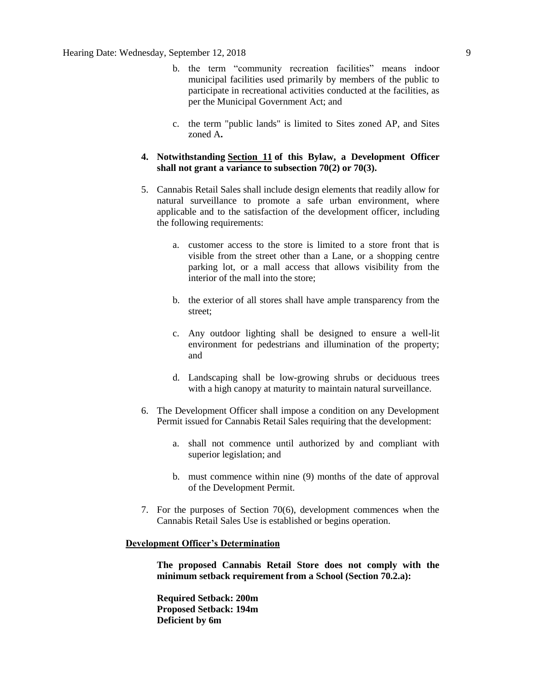- b. the term "community recreation facilities" means indoor municipal facilities used primarily by members of the public to participate in recreational activities conducted at the facilities, as per the Municipal Government Act; and
- c. the term "public lands" is limited to Sites zoned AP, and Sites zoned A**.**
- **4. Notwithstanding [Section 11](https://webdocs.edmonton.ca/InfraPlan/zoningbylaw/ZoningBylaw/Part1/Administrative/11__Authority_and_Responsibility_of_the_Development_Officer.htm) of this Bylaw, a Development Officer shall not grant a variance to subsection 70(2) or 70(3).**
- 5. Cannabis Retail Sales shall include design elements that readily allow for natural surveillance to promote a safe urban environment, where applicable and to the satisfaction of the development officer, including the following requirements:
	- a. customer access to the store is limited to a store front that is visible from the street other than a Lane, or a shopping centre parking lot, or a mall access that allows visibility from the interior of the mall into the store;
	- b. the exterior of all stores shall have ample transparency from the street;
	- c. Any outdoor lighting shall be designed to ensure a well-lit environment for pedestrians and illumination of the property; and
	- d. Landscaping shall be low-growing shrubs or deciduous trees with a high canopy at maturity to maintain natural surveillance.
- 6. The Development Officer shall impose a condition on any Development Permit issued for Cannabis Retail Sales requiring that the development:
	- a. shall not commence until authorized by and compliant with superior legislation; and
	- b. must commence within nine (9) months of the date of approval of the Development Permit.
- 7. For the purposes of Section 70(6), development commences when the Cannabis Retail Sales Use is established or begins operation.

#### **Development Officer's Determination**

**The proposed Cannabis Retail Store does not comply with the minimum setback requirement from a School (Section 70.2.a):**

**Required Setback: 200m Proposed Setback: 194m Deficient by 6m**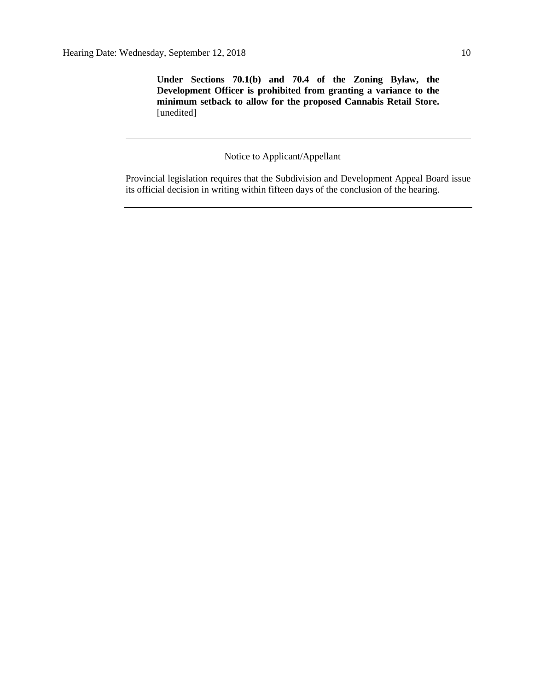**Under Sections 70.1(b) and 70.4 of the Zoning Bylaw, the Development Officer is prohibited from granting a variance to the minimum setback to allow for the proposed Cannabis Retail Store.** [unedited]

# Notice to Applicant/Appellant

Provincial legislation requires that the Subdivision and Development Appeal Board issue its official decision in writing within fifteen days of the conclusion of the hearing.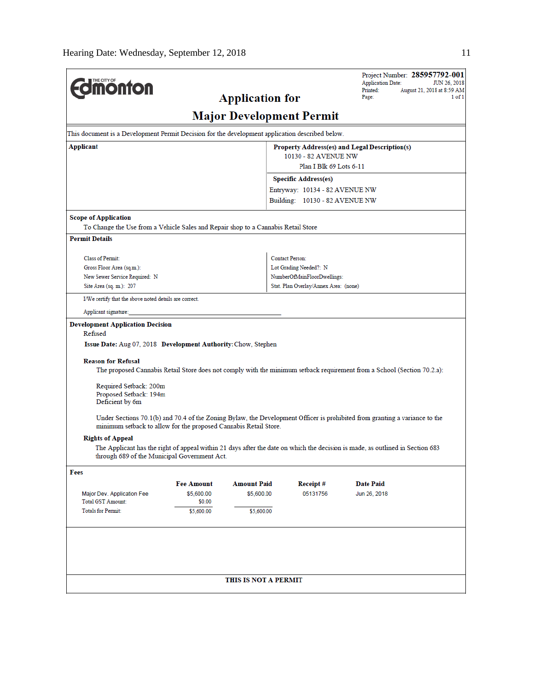| <b>dimonton</b>                                                                                                     |                      |                        |                                                                  | Project Number: 285957792-001<br><b>Application Date:</b><br>JUN 26, 2018                                                     |  |  |  |  |
|---------------------------------------------------------------------------------------------------------------------|----------------------|------------------------|------------------------------------------------------------------|-------------------------------------------------------------------------------------------------------------------------------|--|--|--|--|
|                                                                                                                     |                      | <b>Application for</b> | Printed:<br>August 21, 2018 at 8:59 AM<br>Page:<br>1 of 1        |                                                                                                                               |  |  |  |  |
|                                                                                                                     |                      |                        | <b>Major Development Permit</b>                                  |                                                                                                                               |  |  |  |  |
| This document is a Development Permit Decision for the development application described below.                     |                      |                        |                                                                  |                                                                                                                               |  |  |  |  |
| Applicant<br>Property Address(es) and Legal Description(s)                                                          |                      |                        |                                                                  |                                                                                                                               |  |  |  |  |
|                                                                                                                     |                      |                        | 10130 - 82 AVENUE NW                                             |                                                                                                                               |  |  |  |  |
|                                                                                                                     |                      |                        | Plan I Blk 69 Lots 6-11                                          |                                                                                                                               |  |  |  |  |
|                                                                                                                     |                      |                        | <b>Specific Address(es)</b>                                      |                                                                                                                               |  |  |  |  |
|                                                                                                                     |                      |                        | Entryway: 10134 - 82 AVENUE NW<br>Building: 10130 - 82 AVENUE NW |                                                                                                                               |  |  |  |  |
| <b>Scope of Application</b>                                                                                         |                      |                        |                                                                  |                                                                                                                               |  |  |  |  |
| To Change the Use from a Vehicle Sales and Repair shop to a Cannabis Retail Store                                   |                      |                        |                                                                  |                                                                                                                               |  |  |  |  |
| <b>Permit Details</b>                                                                                               |                      |                        |                                                                  |                                                                                                                               |  |  |  |  |
| <b>Class of Permit:</b>                                                                                             |                      |                        | <b>Contact Person:</b>                                           |                                                                                                                               |  |  |  |  |
| Gross Floor Area (sq.m.):                                                                                           |                      |                        | Lot Grading Needed?: N                                           |                                                                                                                               |  |  |  |  |
| New Sewer Service Required: N                                                                                       |                      |                        | NumberOfMainFloorDwellings:                                      |                                                                                                                               |  |  |  |  |
| Site Area (sq. m.): 207                                                                                             |                      |                        | Stat. Plan Overlay/Annex Area: (none)                            |                                                                                                                               |  |  |  |  |
| I/We certify that the above noted details are correct.                                                              |                      |                        |                                                                  |                                                                                                                               |  |  |  |  |
| Applicant signature:                                                                                                |                      |                        |                                                                  |                                                                                                                               |  |  |  |  |
| <b>Development Application Decision</b><br>Refused<br>Issue Date: Aug 07, 2018 Development Authority: Chow, Stephen |                      |                        |                                                                  |                                                                                                                               |  |  |  |  |
| <b>Reason for Refusal</b>                                                                                           |                      |                        |                                                                  | The proposed Cannabis Retail Store does not comply with the minimum setback requirement from a School (Section 70.2.a):       |  |  |  |  |
| Required Setback: 200m<br>Proposed Setback: 194m<br>Deficient by 6m                                                 |                      |                        |                                                                  |                                                                                                                               |  |  |  |  |
| minimum setback to allow for the proposed Cannabis Retail Store.                                                    |                      |                        |                                                                  | Under Sections 70.1(b) and 70.4 of the Zoning Bylaw, the Development Officer is prohibited from granting a variance to the    |  |  |  |  |
| <b>Rights of Appeal</b>                                                                                             |                      |                        |                                                                  |                                                                                                                               |  |  |  |  |
| through 689 of the Municipal Government Act.                                                                        |                      |                        |                                                                  | The Applicant has the right of appeal within 21 days after the date on which the decision is made, as outlined in Section 683 |  |  |  |  |
| Fees                                                                                                                |                      |                        |                                                                  |                                                                                                                               |  |  |  |  |
|                                                                                                                     | <b>Fee Amount</b>    | <b>Amount Paid</b>     | Receipt#                                                         | <b>Date Paid</b>                                                                                                              |  |  |  |  |
| Major Dev. Application Fee<br><b>Total GST Amount:</b>                                                              | \$5,600.00<br>\$0.00 | \$5,600.00             | 05131756                                                         | Jun 26, 2018                                                                                                                  |  |  |  |  |
| <b>Totals for Permit:</b>                                                                                           | \$5,600.00           | \$5,600.00             |                                                                  |                                                                                                                               |  |  |  |  |
|                                                                                                                     |                      |                        |                                                                  |                                                                                                                               |  |  |  |  |
|                                                                                                                     |                      |                        |                                                                  |                                                                                                                               |  |  |  |  |
|                                                                                                                     |                      | THIS IS NOT A PERMIT   |                                                                  |                                                                                                                               |  |  |  |  |
|                                                                                                                     |                      |                        |                                                                  |                                                                                                                               |  |  |  |  |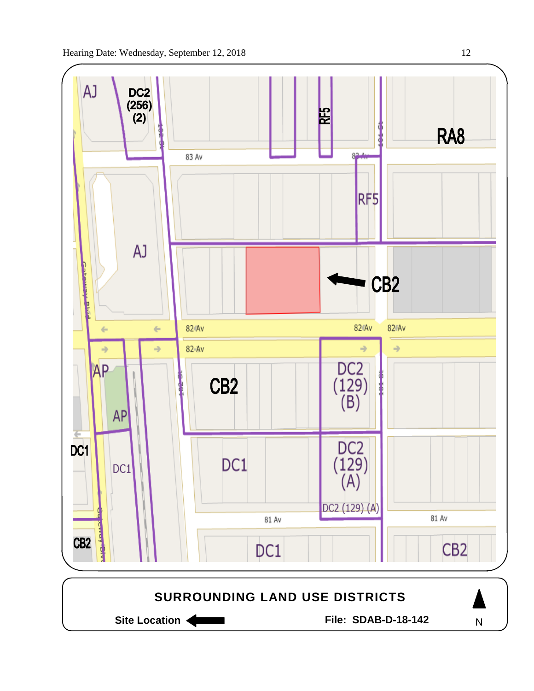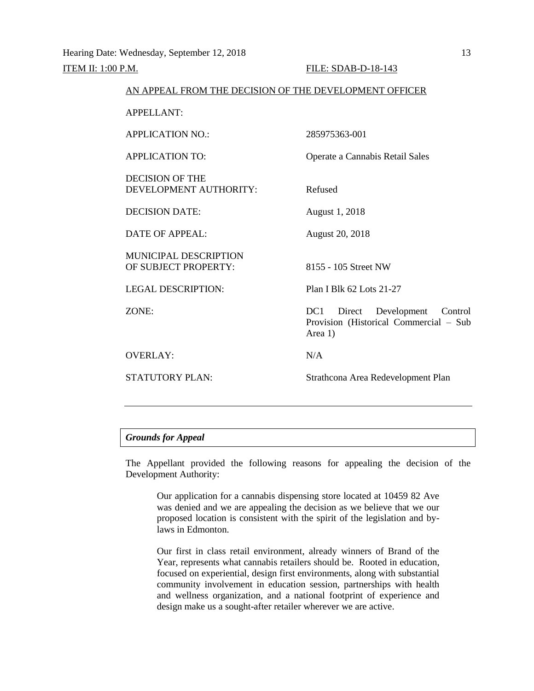# AN APPEAL FROM THE DECISION OF THE DEVELOPMENT OFFICER APPELLANT: APPLICATION NO.: 285975363-001 APPLICATION TO: Operate a Cannabis Retail Sales DECISION OF THE DEVELOPMENT AUTHORITY: Refused DECISION DATE: August 1, 2018 DATE OF APPEAL: August 20, 2018 MUNICIPAL DESCRIPTION OF SUBJECT PROPERTY: 8155 - 105 Street NW

LEGAL DESCRIPTION: Plan I Blk 62 Lots 21-27

ZONE: DC1 Direct Development Control

OVERLAY: N/A

STATUTORY PLAN: Strathcona Area Redevelopment Plan

Provision (Historical Commercial – Sub

#### *Grounds for Appeal*

The Appellant provided the following reasons for appealing the decision of the Development Authority:

Area 1)

Our application for a cannabis dispensing store located at 10459 82 Ave was denied and we are appealing the decision as we believe that we our proposed location is consistent with the spirit of the legislation and bylaws in Edmonton.

Our first in class retail environment, already winners of Brand of the Year, represents what cannabis retailers should be. Rooted in education, focused on experiential, design first environments, along with substantial community involvement in education session, partnerships with health and wellness organization, and a national footprint of experience and design make us a sought-after retailer wherever we are active.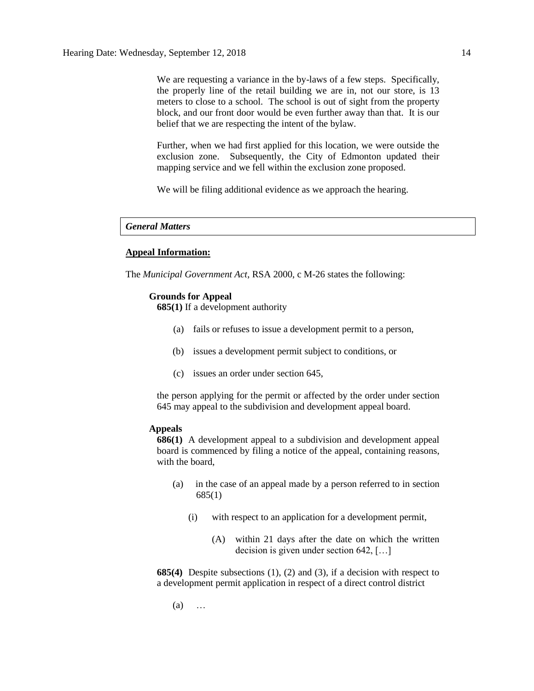We are requesting a variance in the by-laws of a few steps. Specifically, the properly line of the retail building we are in, not our store, is 13 meters to close to a school. The school is out of sight from the property block, and our front door would be even further away than that. It is our belief that we are respecting the intent of the bylaw.

Further, when we had first applied for this location, we were outside the exclusion zone. Subsequently, the City of Edmonton updated their mapping service and we fell within the exclusion zone proposed.

We will be filing additional evidence as we approach the hearing.

# *General Matters*

#### **Appeal Information:**

The *Municipal Government Act*, RSA 2000, c M-26 states the following:

#### **Grounds for Appeal**

**685(1)** If a development authority

- (a) fails or refuses to issue a development permit to a person,
- (b) issues a development permit subject to conditions, or
- (c) issues an order under section 645,

the person applying for the permit or affected by the order under section 645 may appeal to the subdivision and development appeal board.

### **Appeals**

**686(1)** A development appeal to a subdivision and development appeal board is commenced by filing a notice of the appeal, containing reasons, with the board,

- (a) in the case of an appeal made by a person referred to in section 685(1)
	- (i) with respect to an application for a development permit,
		- (A) within 21 days after the date on which the written decision is given under section 642, […]

**685(4)** Despite subsections (1), (2) and (3), if a decision with respect to a development permit application in respect of a direct control district

(a) …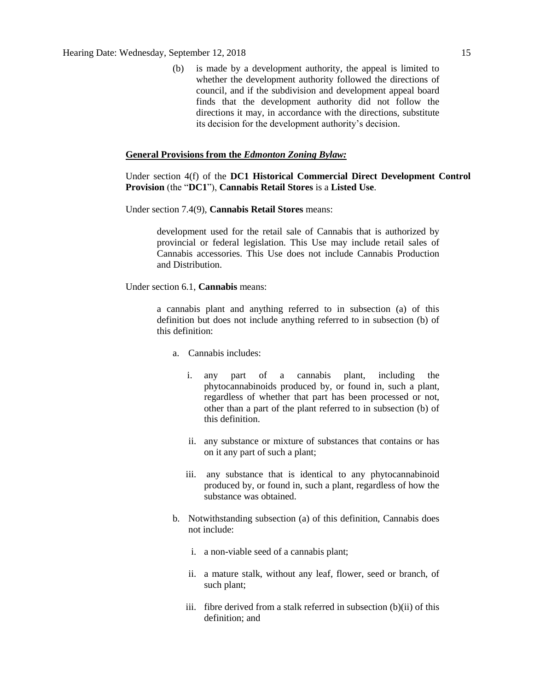(b) is made by a development authority, the appeal is limited to whether the development authority followed the directions of council, and if the subdivision and development appeal board finds that the development authority did not follow the directions it may, in accordance with the directions, substitute its decision for the development authority's decision.

### **General Provisions from the** *Edmonton Zoning Bylaw:*

Under section 4(f) of the **DC1 Historical Commercial Direct Development Control Provision** (the "**DC1**"), **Cannabis Retail Stores** is a **Listed Use**.

Under section 7.4(9), **Cannabis Retail Stores** means:

development used for the retail sale of Cannabis that is authorized by provincial or federal legislation. This Use may include retail sales of Cannabis accessories. This Use does not include Cannabis Production and Distribution.

Under section 6.1, **Cannabis** means:

a cannabis plant and anything referred to in subsection (a) of this definition but does not include anything referred to in subsection (b) of this definition:

- a. Cannabis includes:
	- i. any part of a cannabis plant, including the phytocannabinoids produced by, or found in, such a plant, regardless of whether that part has been processed or not, other than a part of the plant referred to in subsection (b) of this definition.
	- ii. any substance or mixture of substances that contains or has on it any part of such a plant;
	- iii. any substance that is identical to any phytocannabinoid produced by, or found in, such a plant, regardless of how the substance was obtained.
- b. Notwithstanding subsection (a) of this definition, Cannabis does not include:
	- i. a non-viable seed of a cannabis plant;
	- ii. a mature stalk, without any leaf, flower, seed or branch, of such plant;
	- iii. fibre derived from a stalk referred in subsection (b)(ii) of this definition; and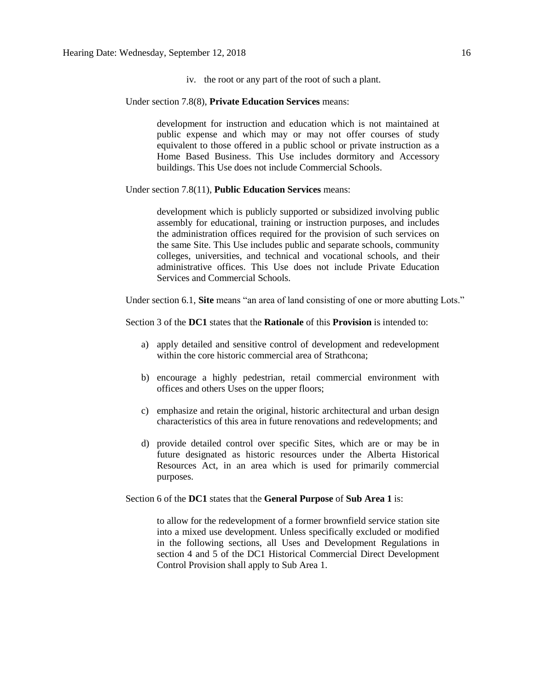iv. the root or any part of the root of such a plant.

Under section 7.8(8), **Private Education Services** means:

development for instruction and education which is not maintained at public expense and which may or may not offer courses of study equivalent to those offered in a public school or private instruction as a Home Based Business. This Use includes dormitory and Accessory buildings. This Use does not include Commercial Schools.

Under section 7.8(11), **Public Education Services** means:

development which is publicly supported or subsidized involving public assembly for educational, training or instruction purposes, and includes the administration offices required for the provision of such services on the same Site. This Use includes public and separate schools, community colleges, universities, and technical and vocational schools, and their administrative offices. This Use does not include Private Education Services and Commercial Schools.

Under section 6.1, **Site** means "an area of land consisting of one or more abutting Lots."

Section 3 of the **DC1** states that the **Rationale** of this **Provision** is intended to:

- a) apply detailed and sensitive control of development and redevelopment within the core historic commercial area of Strathcona;
- b) encourage a highly pedestrian, retail commercial environment with offices and others Uses on the upper floors;
- c) emphasize and retain the original, historic architectural and urban design characteristics of this area in future renovations and redevelopments; and
- d) provide detailed control over specific Sites, which are or may be in future designated as historic resources under the Alberta Historical Resources Act, in an area which is used for primarily commercial purposes.

Section 6 of the **DC1** states that the **General Purpose** of **Sub Area 1** is:

to allow for the redevelopment of a former brownfield service station site into a mixed use development. Unless specifically excluded or modified in the following sections, all Uses and Development Regulations in section 4 and 5 of the DC1 Historical Commercial Direct Development Control Provision shall apply to Sub Area 1.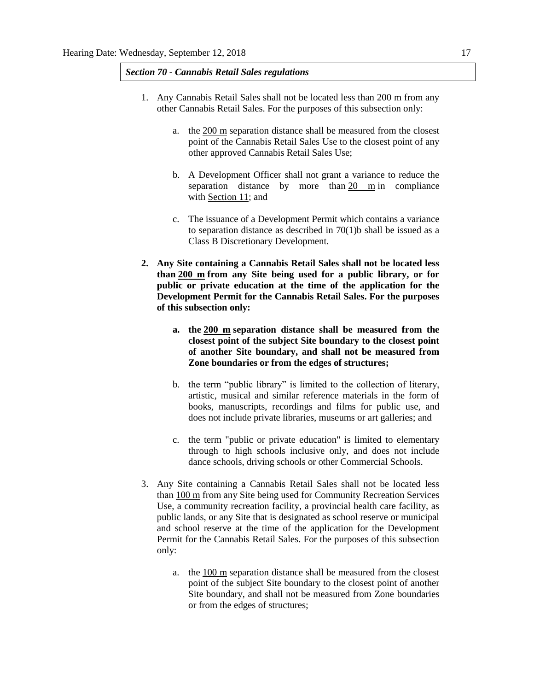## *Section 70 - Cannabis Retail Sales regulations*

- 1. Any Cannabis Retail Sales shall not be located less than 200 m from any other Cannabis Retail Sales. For the purposes of this subsection only:
	- a. the [200 m](javascript:void(0);) separation distance shall be measured from the closest point of the Cannabis Retail Sales Use to the closest point of any other approved Cannabis Retail Sales Use;
	- b. A Development Officer shall not grant a variance to reduce the separation distance by more than [20 m](javascript:void(0);) in compliance with [Section 11;](https://webdocs.edmonton.ca/InfraPlan/zoningbylaw/ZoningBylaw/Part1/Administrative/11__Authority_and_Responsibility_of_the_Development_Officer.htm) and
	- c. The issuance of a Development Permit which contains a variance to separation distance as described in  $70(1)$ b shall be issued as a Class B Discretionary Development.
- **2. Any Site containing a Cannabis Retail Sales shall not be located less than [200 m](javascript:void(0);) from any Site being used for a public library, or for public or private education at the time of the application for the Development Permit for the Cannabis Retail Sales. For the purposes of this subsection only:**
	- **a. the [200 m](javascript:void(0);) separation distance shall be measured from the closest point of the subject Site boundary to the closest point of another Site boundary, and shall not be measured from Zone boundaries or from the edges of structures;**
	- b. the term "public library" is limited to the collection of literary, artistic, musical and similar reference materials in the form of books, manuscripts, recordings and films for public use, and does not include private libraries, museums or art galleries; and
	- c. the term "public or private education" is limited to elementary through to high schools inclusive only, and does not include dance schools, driving schools or other Commercial Schools.
- 3. Any Site containing a Cannabis Retail Sales shall not be located less than [100 m](javascript:void(0);) from any Site being used for Community Recreation Services Use, a community recreation facility, a provincial health care facility, as public lands, or any Site that is designated as school reserve or municipal and school reserve at the time of the application for the Development Permit for the Cannabis Retail Sales. For the purposes of this subsection only:
	- a. the [100 m](javascript:void(0);) separation distance shall be measured from the closest point of the subject Site boundary to the closest point of another Site boundary, and shall not be measured from Zone boundaries or from the edges of structures;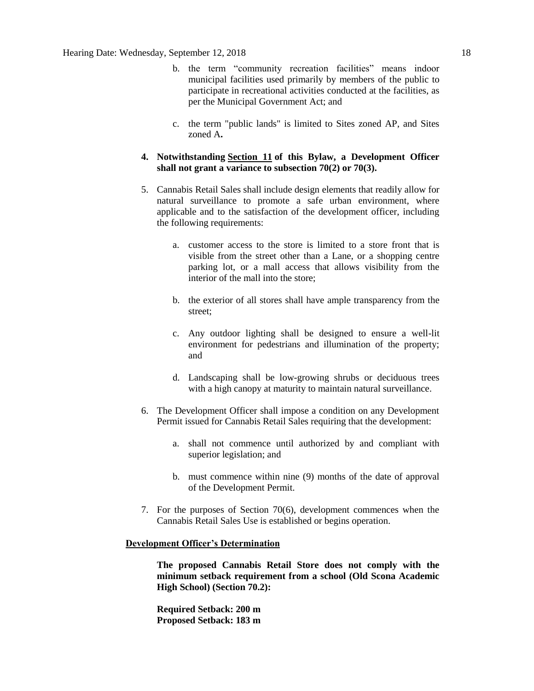- b. the term "community recreation facilities" means indoor municipal facilities used primarily by members of the public to participate in recreational activities conducted at the facilities, as per the Municipal Government Act; and
- c. the term "public lands" is limited to Sites zoned AP, and Sites zoned A**.**
- **4. Notwithstanding [Section 11](https://webdocs.edmonton.ca/InfraPlan/zoningbylaw/ZoningBylaw/Part1/Administrative/11__Authority_and_Responsibility_of_the_Development_Officer.htm) of this Bylaw, a Development Officer shall not grant a variance to subsection 70(2) or 70(3).**
- 5. Cannabis Retail Sales shall include design elements that readily allow for natural surveillance to promote a safe urban environment, where applicable and to the satisfaction of the development officer, including the following requirements:
	- a. customer access to the store is limited to a store front that is visible from the street other than a Lane, or a shopping centre parking lot, or a mall access that allows visibility from the interior of the mall into the store;
	- b. the exterior of all stores shall have ample transparency from the street;
	- c. Any outdoor lighting shall be designed to ensure a well-lit environment for pedestrians and illumination of the property; and
	- d. Landscaping shall be low-growing shrubs or deciduous trees with a high canopy at maturity to maintain natural surveillance.
- 6. The Development Officer shall impose a condition on any Development Permit issued for Cannabis Retail Sales requiring that the development:
	- a. shall not commence until authorized by and compliant with superior legislation; and
	- b. must commence within nine (9) months of the date of approval of the Development Permit.
- 7. For the purposes of Section 70(6), development commences when the Cannabis Retail Sales Use is established or begins operation.

#### **Development Officer's Determination**

**The proposed Cannabis Retail Store does not comply with the minimum setback requirement from a school (Old Scona Academic High School) (Section 70.2):**

**Required Setback: 200 m Proposed Setback: 183 m**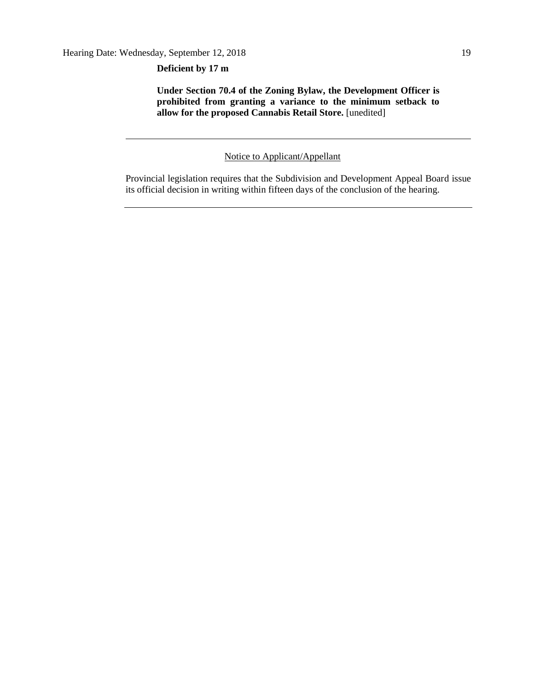**Deficient by 17 m**

**Under Section 70.4 of the Zoning Bylaw, the Development Officer is prohibited from granting a variance to the minimum setback to**  allow for the proposed Cannabis Retail Store. [unedited]

Notice to Applicant/Appellant

Provincial legislation requires that the Subdivision and Development Appeal Board issue its official decision in writing within fifteen days of the conclusion of the hearing.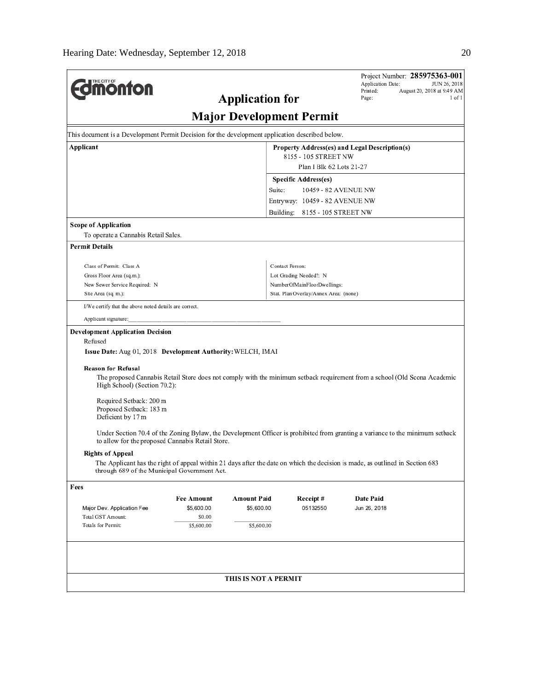|                                                                                                                                                                                   |                   |                        |                                       | Application Date:    | Project Number: 285975363-001<br>JUN 26, 2018 |  |  |  |  |  |
|-----------------------------------------------------------------------------------------------------------------------------------------------------------------------------------|-------------------|------------------------|---------------------------------------|----------------------|-----------------------------------------------|--|--|--|--|--|
| <b><i><u><u><b>M</b>onton</u></u></i></b>                                                                                                                                         |                   |                        |                                       | Printed:             | August 20, 2018 at 9:49 AM                    |  |  |  |  |  |
|                                                                                                                                                                                   |                   | <b>Application for</b> |                                       | Page:                | $1$ of $1$                                    |  |  |  |  |  |
| <b>Major Development Permit</b>                                                                                                                                                   |                   |                        |                                       |                      |                                               |  |  |  |  |  |
| This document is a Development Permit Decision for the development application described below.                                                                                   |                   |                        |                                       |                      |                                               |  |  |  |  |  |
| Applicant<br>Property Address(es) and Legal Description(s)                                                                                                                        |                   |                        |                                       |                      |                                               |  |  |  |  |  |
| 8155 - 105 STREET NW                                                                                                                                                              |                   |                        |                                       |                      |                                               |  |  |  |  |  |
|                                                                                                                                                                                   |                   |                        | Plan I Blk 62 Lots 21-27              |                      |                                               |  |  |  |  |  |
|                                                                                                                                                                                   |                   |                        | Specific Address(es)                  |                      |                                               |  |  |  |  |  |
|                                                                                                                                                                                   |                   | Suite:                 |                                       | 10459 - 82 AVENUE NW |                                               |  |  |  |  |  |
|                                                                                                                                                                                   |                   |                        | Entryway: 10459 - 82 AVENUE NW        |                      |                                               |  |  |  |  |  |
|                                                                                                                                                                                   |                   |                        | Building: 8155 - 105 STREET NW        |                      |                                               |  |  |  |  |  |
| <b>Scope of Application</b>                                                                                                                                                       |                   |                        |                                       |                      |                                               |  |  |  |  |  |
| To operate a Cannabis Retail Sales.                                                                                                                                               |                   |                        |                                       |                      |                                               |  |  |  |  |  |
| <b>Permit Details</b>                                                                                                                                                             |                   |                        |                                       |                      |                                               |  |  |  |  |  |
| Class of Permit: Class A                                                                                                                                                          |                   |                        | Contact Person:                       |                      |                                               |  |  |  |  |  |
| Gross Floor Area (sq.m.):                                                                                                                                                         |                   |                        | Lot Grading Needed?: N                |                      |                                               |  |  |  |  |  |
| New Sewer Service Required: N                                                                                                                                                     |                   |                        | NumberOfMainFloorDwellings:           |                      |                                               |  |  |  |  |  |
| Site Area (sq. m.):                                                                                                                                                               |                   |                        | Stat. Plan Overlay/Annex Area: (none) |                      |                                               |  |  |  |  |  |
| I/We certify that the above noted details are correct.                                                                                                                            |                   |                        |                                       |                      |                                               |  |  |  |  |  |
| Applicant signature:                                                                                                                                                              |                   |                        |                                       |                      |                                               |  |  |  |  |  |
| <b>Development Application Decision</b>                                                                                                                                           |                   |                        |                                       |                      |                                               |  |  |  |  |  |
| Refused                                                                                                                                                                           |                   |                        |                                       |                      |                                               |  |  |  |  |  |
| Issue Date: Aug 01, 2018 Development Authority: WELCH, IMAI                                                                                                                       |                   |                        |                                       |                      |                                               |  |  |  |  |  |
| <b>Reason for Refusal</b>                                                                                                                                                         |                   |                        |                                       |                      |                                               |  |  |  |  |  |
| The proposed Cannabis Retail Store does not comply with the minimum setback requirement from a school (Old Scona Academic                                                         |                   |                        |                                       |                      |                                               |  |  |  |  |  |
| High School) (Section 70.2):                                                                                                                                                      |                   |                        |                                       |                      |                                               |  |  |  |  |  |
| Required Setback: 200 m                                                                                                                                                           |                   |                        |                                       |                      |                                               |  |  |  |  |  |
| Proposed Setback: 183 m                                                                                                                                                           |                   |                        |                                       |                      |                                               |  |  |  |  |  |
| Deficient by 17 m                                                                                                                                                                 |                   |                        |                                       |                      |                                               |  |  |  |  |  |
| Under Section 70.4 of the Zoning Bylaw, the Development Officer is prohibited from granting a variance to the minimum setback<br>to allow for the proposed Cannabis Retail Store. |                   |                        |                                       |                      |                                               |  |  |  |  |  |
| <b>Rights of Appeal</b>                                                                                                                                                           |                   |                        |                                       |                      |                                               |  |  |  |  |  |
| The Applicant has the right of appeal within 21 days after the date on which the decision is made, as outlined in Section 683<br>through 689 of the Municipal Government Act.     |                   |                        |                                       |                      |                                               |  |  |  |  |  |
| Fees                                                                                                                                                                              |                   |                        |                                       |                      |                                               |  |  |  |  |  |
|                                                                                                                                                                                   | <b>Fee Amount</b> | Amount Paid            | Receipt#                              | Date Paid            |                                               |  |  |  |  |  |
| Major Dev. Application Fee                                                                                                                                                        | \$5,600.00        | \$5,600.00             | 05132550                              | Jun 26, 2018         |                                               |  |  |  |  |  |
| Total GST Amount:<br>Totals for Permit:                                                                                                                                           | \$0.00            |                        |                                       |                      |                                               |  |  |  |  |  |
|                                                                                                                                                                                   | \$5,600.00        | \$5,600.00             |                                       |                      |                                               |  |  |  |  |  |
|                                                                                                                                                                                   |                   |                        |                                       |                      |                                               |  |  |  |  |  |
|                                                                                                                                                                                   |                   |                        |                                       |                      |                                               |  |  |  |  |  |
|                                                                                                                                                                                   |                   |                        |                                       |                      |                                               |  |  |  |  |  |
| THIS IS NOT A PERMIT                                                                                                                                                              |                   |                        |                                       |                      |                                               |  |  |  |  |  |
|                                                                                                                                                                                   |                   |                        |                                       |                      |                                               |  |  |  |  |  |